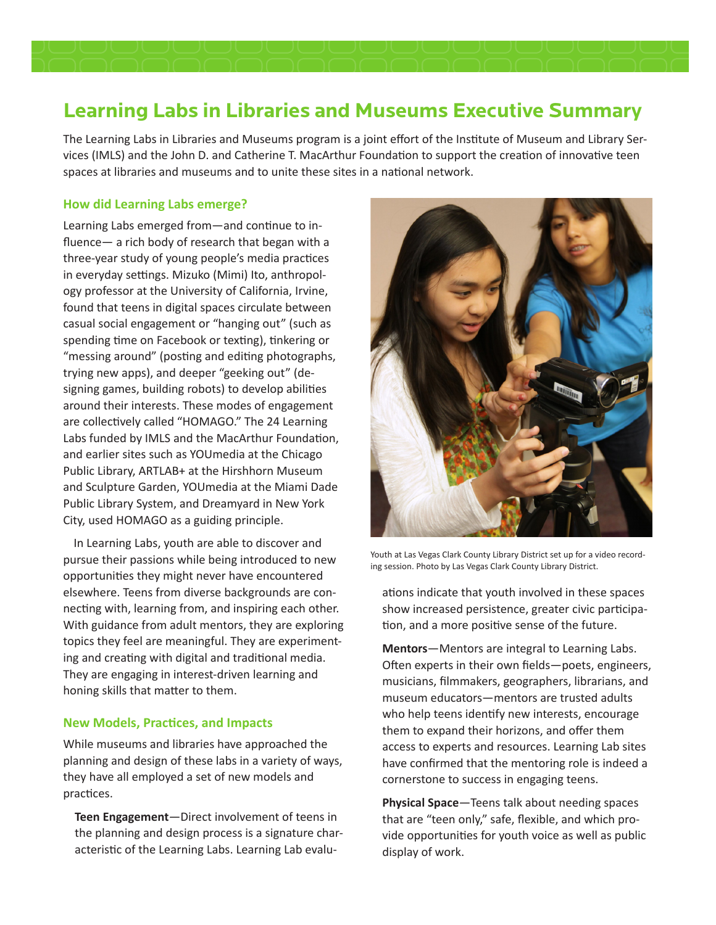# **Learning Labs in Libraries and Museums Executive Summary**

The Learning Labs in Libraries and Museums program is a joint effort of the Institute of Museum and Library Services (IMLS) and the John D. and Catherine T. MacArthur Foundation to support the creation of innovative teen spaces at libraries and museums and to unite these sites in a national network.

## **How did Learning Labs emerge?**

Learning Labs emerged from—and continue to influence— a rich body of research that began with a three-year study of young people's media practices in everyday settings. Mizuko (Mimi) Ito, anthropology professor at the University of California, Irvine, found that teens in digital spaces circulate between casual social engagement or "hanging out" (such as spending time on Facebook or texting), tinkering or "messing around" (posting and editing photographs, trying new apps), and deeper "geeking out" (designing games, building robots) to develop abilities around their interests. These modes of engagement are collectively called "HOMAGO." The 24 Learning Labs funded by IMLS and the MacArthur Foundation, and earlier sites such as YOUmedia at the Chicago Public Library, ARTLAB+ at the Hirshhorn Museum and Sculpture Garden, YOUmedia at the Miami Dade Public Library System, and Dreamyard in New York City, used HOMAGO as a guiding principle.

In Learning Labs, youth are able to discover and pursue their passions while being introduced to new opportunities they might never have encountered elsewhere. Teens from diverse backgrounds are connecting with, learning from, and inspiring each other. With guidance from adult mentors, they are exploring topics they feel are meaningful. They are experimenting and creating with digital and traditional media. They are engaging in interest-driven learning and honing skills that matter to them.

### **New Models, Practices, and Impacts**

While museums and libraries have approached the planning and design of these labs in a variety of ways, they have all employed a set of new models and practices.

**Teen Engagement**—Direct involvement of teens in the planning and design process is a signature characteristic of the Learning Labs. Learning Lab evalu-



Youth at Las Vegas Clark County Library District set up for a video recording session. Photo by Las Vegas Clark County Library District.

ations indicate that youth involved in these spaces show increased persistence, greater civic participation, and a more positive sense of the future.

**Mentors**—Mentors are integral to Learning Labs. Often experts in their own fields—poets, engineers, musicians, filmmakers, geographers, librarians, and museum educators—mentors are trusted adults who help teens identify new interests, encourage them to expand their horizons, and offer them access to experts and resources. Learning Lab sites have confirmed that the mentoring role is indeed a cornerstone to success in engaging teens.

**Physical Space**—Teens talk about needing spaces that are "teen only," safe, flexible, and which provide opportunities for youth voice as well as public display of work.